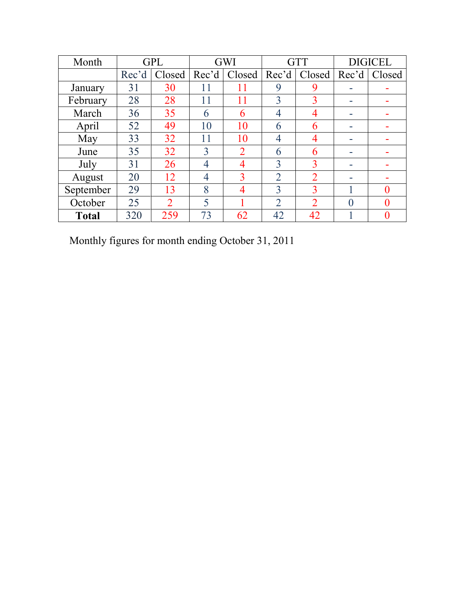| Month        |       | <b>GPL</b>     |       | GWI            |                | <b>GTT</b>     |          | <b>DIGICEL</b> |
|--------------|-------|----------------|-------|----------------|----------------|----------------|----------|----------------|
|              | Rec'd | Closed         | Rec'd | Closed         | Rec'd          | Closed         | Rec'd    | Closed         |
| January      | 31    | 30             | 11    | 11             | 9              | 9              |          |                |
| February     | 28    | 28             | 11    | 11             | 3              | 3              |          |                |
| March        | 36    | 35             | 6     | 6              | 4              | $\overline{4}$ |          |                |
| April        | 52    | 49             | 10    | 10             | 6              | 6              |          |                |
| May          | 33    | 32             | 11    | 10             | 4              | 4              |          |                |
| June         | 35    | 32             | 3     | $\overline{2}$ | 6              | 6              |          |                |
| July         | 31    | 26             | 4     | 4              | 3              | 3              |          |                |
| August       | 20    | 12             | 4     | 3              | $\overline{2}$ | $\overline{2}$ |          |                |
| September    | 29    | 13             | 8     | 4              | 3              | 3              |          | $\Omega$       |
| October      | 25    | $\overline{2}$ | 5     |                | $\overline{2}$ | $\overline{2}$ | $\theta$ | $\Omega$       |
| <b>Total</b> | 320   | 259            | 73    | 62             | 42             | 42             |          | 0              |

Monthly figures for month ending October 31, 2011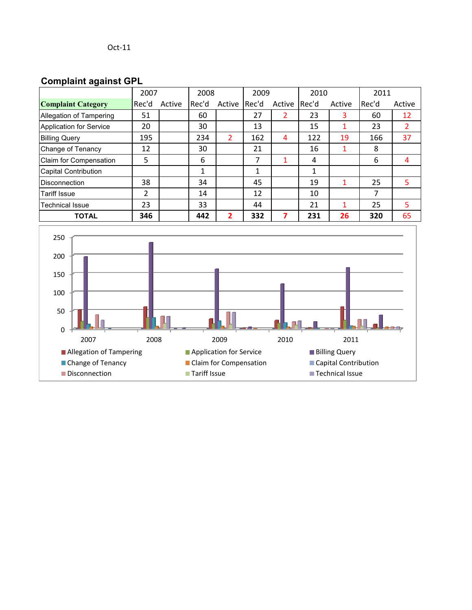## **Complaint against GPL**

|                             | 2007  |        | 2008  |        | 2009  |        | 2010  |        | 2011    |        |
|-----------------------------|-------|--------|-------|--------|-------|--------|-------|--------|---------|--------|
| <b>Complaint Category</b>   | Rec'd | Active | Rec'd | Active | Rec'd | Active | Rec'd | Active | l Rec'd | Active |
| Allegation of Tampering     | 51    |        | 60    |        | 27    | 2      | 23    | 3      | 60      | 12     |
| Application for Service     | 20    |        | 30    |        | 13    |        | 15    |        | 23      |        |
| <b>Billing Query</b>        | 195   |        | 234   | 2      | 162   | 4      | 122   | 19     | 166     | 37     |
| Change of Tenancy           | 12    |        | 30    |        | 21    |        | 16    | 1      | 8       |        |
| Claim for Compensation      | 5     |        | 6     |        | 7     |        | 4     |        | 6       | 4      |
| <b>Capital Contribution</b> |       |        | 1     |        | 1     |        | 1     |        |         |        |
| <b>Disconnection</b>        | 38    |        | 34    |        | 45    |        | 19    |        | 25      | 5      |
| <b>Tariff Issue</b>         | 2     |        | 14    |        | 12    |        | 10    |        | 7       |        |
| <b>Technical Issue</b>      | 23    |        | 33    |        | 44    |        | 21    | 1      | 25      | 5      |
| <b>TOTAL</b>                | 346   |        | 442   | 2      | 332   | 7      | 231   | 26     | 320     | 65     |

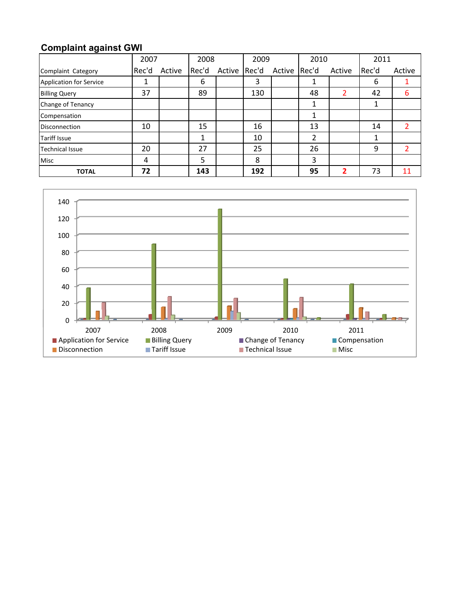## **Complaint against GWI**

|                                | 2008<br>2007 |        | 2009  |              | 2010 |        | 2011  |        |       |        |
|--------------------------------|--------------|--------|-------|--------------|------|--------|-------|--------|-------|--------|
| Complaint Category             | Rec'd        | Active | Rec'd | Active Rec'd |      | Active | Rec'd | Active | Rec'd | Active |
| <b>Application for Service</b> |              |        | 6     |              | 3    |        |       |        | 6     |        |
| <b>Billing Query</b>           | 37           |        | 89    |              | 130  |        | 48    |        | 42    | 6      |
| Change of Tenancy              |              |        |       |              |      |        |       |        | 1     |        |
| Compensation                   |              |        |       |              |      |        |       |        |       |        |
| <b>Disconnection</b>           | 10           |        | 15    |              | 16   |        | 13    |        | 14    |        |
| <b>Tariff Issue</b>            |              |        |       |              | 10   |        | 2     |        | 1     |        |
| <b>Technical Issue</b>         | 20           |        | 27    |              | 25   |        | 26    |        | 9     |        |
| <b>Misc</b>                    | 4            |        | 5     |              | 8    |        | 3     |        |       |        |
| <b>TOTAL</b>                   | 72           |        | 143   |              | 192  |        | 95    |        | 73    |        |

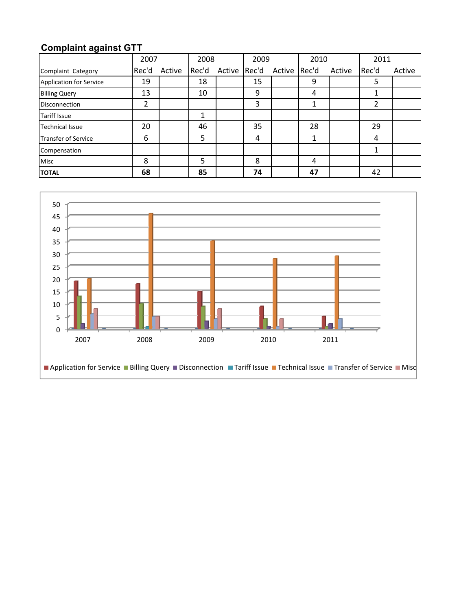## **Complaint against GTT**

|                                | 2007  |        | 2008  |              | 2009 |              | 2010 |        | 2011  |        |
|--------------------------------|-------|--------|-------|--------------|------|--------------|------|--------|-------|--------|
| Complaint Category             | Rec'd | Active | Rec'd | Active Rec'd |      | Active Rec'd |      | Active | Rec'd | Active |
| <b>Application for Service</b> | 19    |        | 18    |              | 15   |              | 9    |        | 5     |        |
| <b>Billing Query</b>           | 13    |        | 10    |              | 9    |              | 4    |        | 1     |        |
| <b>Disconnection</b>           | າ     |        |       |              | 3    |              |      |        | 2     |        |
| <b>Tariff Issue</b>            |       |        | 1     |              |      |              |      |        |       |        |
| <b>Technical Issue</b>         | 20    |        | 46    |              | 35   |              | 28   |        | 29    |        |
| <b>Transfer of Service</b>     | 6     |        | 5     |              | 4    |              |      |        | 4     |        |
| Compensation                   |       |        |       |              |      |              |      |        | 1     |        |
| <b>Misc</b>                    | 8     |        | 5     |              | 8    |              | 4    |        |       |        |
| <b>TOTAL</b>                   | 68    |        | 85    |              | 74   |              | 47   |        | 42    |        |